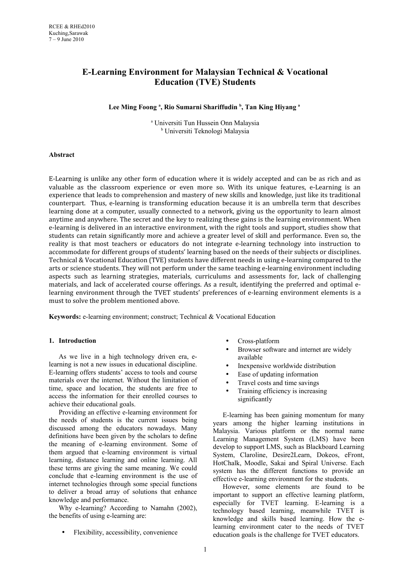# **E-Learning Environment for Malaysian Technical & Vocational Education (TVE) Students**

## Lee Ming Foong <sup>a</sup>, Rio Sumarni Shariffudin <sup>b</sup>, Tan King Hiyang <sup>a</sup>

a Universiti Tun Hussein Onn Malaysia b Universiti Teknologi Malaysia

## **Abstract**

E-Learning is unlike any other form of education where it is widely accepted and can be as rich and as valuable as the classroom experience or even more so. With its unique features, e-Learning is an experience that leads to comprehension and mastery of new skills and knowledge, just like its traditional counterpart. Thus, e-learning is transforming education because it is an umbrella term that describes learning done at a computer, usually connected to a network, giving us the opportunity to learn almost anytime and anywhere. The secret and the key to realizing these gains is the learning environment. When e-learning is delivered in an interactive environment, with the right tools and support, studies show that students can retain significantly more and achieve a greater level of skill and performance. Even so, the reality is that most teachers or educators do not integrate e-learning technology into instruction to accommodate for different groups of students' learning based on the needs of their subjects or disciplines. Technical & Vocational Education (TVE) students have different needs in using e-learning compared to the arts or science students. They will not perform under the same teaching e-learning environment including aspects such as learning strategies, materials, curriculums and assessments for, lack of challenging materials, and lack of accelerated course offerings. As a result, identifying the preferred and optimal elearning environment through the TVET students' preferences of e-learning environment elements is a must to solve the problem mentioned above.

**Keywords:** e-learning environment; construct; Technical & Vocational Education

## **1. Introduction**

As we live in a high technology driven era, elearning is not a new issues in educational discipline. E-learning offers students' access to tools and course materials over the internet. Without the limitation of time, space and location, the students are free to access the information for their enrolled courses to achieve their educational goals.

Providing an effective e-learning environment for the needs of students is the current issues being discussed among the educators nowadays. Many definitions have been given by the scholars to define the meaning of e-learning environment. Some of them argued that e-learning environment is virtual learning, distance learning and online learning. All these terms are giving the same meaning. We could conclude that e-learning environment is the use of internet technologies through some special functions to deliver a broad array of solutions that enhance knowledge and performance.

Why e-learning? According to Namahn (2002), the benefits of using e-learning are:

• Flexibility, accessibility, convenience

- Cross-platform
- Browser software and internet are widely available
- Inexpensive worldwide distribution
- Ease of updating information
- Travel costs and time savings
- Training efficiency is increasing significantly

E-learning has been gaining momentum for many years among the higher learning institutions in Malaysia. Various platform or the normal name Learning Management System (LMS) have been develop to support LMS, such as Blackboard Learning System, Claroline, Desire2Learn, Dokeos, eFront, HotChalk, Moodle, Sakai and Spiral Universe. Each system has the different functions to provide an effective e-learning environment for the students.

However, some elements are found to be important to support an effective learning platform, especially for TVET learning. E-learning is a technology based learning, meanwhile TVET is knowledge and skills based learning. How the elearning environment cater to the needs of TVET education goals is the challenge for TVET educators.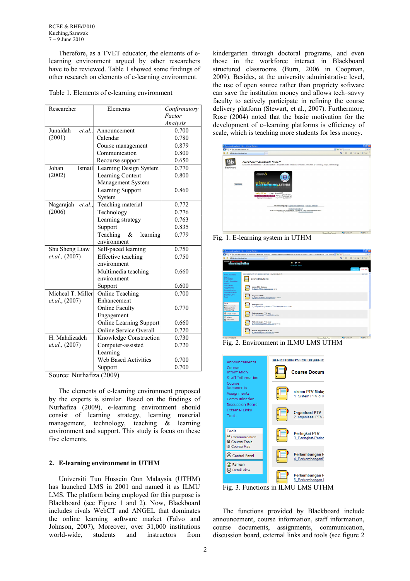Therefore, as a TVET educator, the elements of elearning environment argued by other researchers have to be reviewed. Table 1 showed some findings of other research on elements of e-learning environment.

#### Table 1. Elements of e-learning environment

| Researcher             | Elements                       | Confirmatory |  |
|------------------------|--------------------------------|--------------|--|
|                        |                                | Factor       |  |
|                        |                                | Analysis     |  |
| Junaidah<br>et.al      | Announcement                   | 0.700        |  |
| (2001)                 | Calendar                       | 0.780        |  |
|                        | Course management              | 0.879        |  |
|                        | Communication                  | 0.800        |  |
|                        | Recourse support               | 0.650        |  |
| <b>Ismail</b><br>Johan | Learning Design System         | 0.770        |  |
| (2002)                 | Learning Content               | 0.800        |  |
|                        | <b>Management System</b>       |              |  |
|                        | Learning Support               | 0.860        |  |
|                        | System                         |              |  |
| Nagarajah<br>et. al.   | Teaching material              | 0.772        |  |
| (2006)                 | Technology                     | 0.776        |  |
|                        | Learning strategy              | 0.763        |  |
|                        | Support                        | 0.835        |  |
|                        | Teaching<br>learning<br>&      | 0.779        |  |
|                        | environment                    |              |  |
| Shu Sheng Liaw         | Self-paced learning            | 0.750        |  |
| <i>et.al.</i> , (2007) | Effective teaching             | 0.750        |  |
|                        | environment                    |              |  |
|                        | Multimedia teaching            | 0.660        |  |
|                        | environment                    |              |  |
|                        | Support                        | 0.600        |  |
| Micheal T. Miller      | <b>Online Teaching</b>         | 0.700        |  |
| et.al., (2007)         | Enhancement                    |              |  |
|                        | <b>Online Faculty</b>          | 0.770        |  |
|                        | Engagement                     |              |  |
|                        | <b>Online Learning Support</b> | 0.660        |  |
|                        | <b>Online Service Overall</b>  | 0.720        |  |
| H. Mahdizadeh          | Knowledge Construction         | 0.730        |  |
| <i>et.al.</i> , (2007) | Computer-assisted              | 0.720        |  |
|                        | Learning                       |              |  |
|                        | <b>Web Based Activities</b>    | 0.700        |  |
|                        | Support                        | 0.700        |  |

Source: Nurhafiza (2009)

The elements of e-learning environment proposed by the experts is similar. Based on the findings of Nurhafiza (2009), e-learning environment should consist of learning strategy, learning material management, technology, teaching & learning environment and support. This study is focus on these five elements.

## **2. E-learning environment in UTHM**

Universiti Tun Hussein Onn Malaysia (UTHM) has launched LMS in 2001 and named it as ILMU LMS. The platform being employed for this purpose is Blackboard (see Figure 1 and 2). Now, Blackboard includes rivals WebCT and ANGEL that dominates the online learning software market (Falvo and Johnson, 2007), Moreover, over 31,000 institutions world-wide, students and instructors from

kindergarten through doctoral programs, and even those in the workforce interact in Blackboard structured classrooms (Burn, 2006 in Coopman, 2009). Besides, at the university administrative level, the use of open source rather than propriety software can save the institution money and allows tech–savvy faculty to actively participate in refining the course delivery platform (Stewart, et al., 2007). Furthermore, Rose (2004) noted that the basic motivation for the development of e–learning platforms is efficiency of scale, which is teaching more students for less money.

| El http://linu.uthn.edu.ny/<br>٠                                                                                                                                                                                                                                                         | v + X Div Search              | - م |
|------------------------------------------------------------------------------------------------------------------------------------------------------------------------------------------------------------------------------------------------------------------------------------------|-------------------------------|-----|
| Ell Baddoard Academic Suite                                                                                                                                                                                                                                                              | Q - 回 - @ - 7> nop + Q Tods + |     |
| <b>Blackboard Academic Suite™</b><br>Welcome to the Blackboard e-Education platform- designed to enable educational innovations everywhere by connecting people and technology.<br>Blackboard                                                                                            |                               |     |
| powered by 8<br>come<br><b>ING-UTMM</b><br><b>User Login</b><br>help line: Login Problem?<br>07.4537474 / 07.4537291 Forgot Password?<br>hemmy@athm.eda.my<br>Problem? Question?                                                                                                         |                               |     |
| Choose Language: English (United States) - Français (France)<br><b>Electronic Academic Suite **</b><br>@ 1997-2010 Blookboard Inc. All Rights Reserved, U.S. Patent No. 6,988,138. Additional Patents Pending.<br>Accessibility information can be found at http://access.blackboard.com |                               |     |
|                                                                                                                                                                                                                                                                                          |                               |     |

Fig. 1. E-learning system in UTHM

| C Blackboard Academic Suite - Internet Explorer                                    |                         |                                                                               |                                 |                                                                                                                                                                              |                           | $\Box$ $\sigma$ $\times$ |
|------------------------------------------------------------------------------------|-------------------------|-------------------------------------------------------------------------------|---------------------------------|------------------------------------------------------------------------------------------------------------------------------------------------------------------------------|---------------------------|--------------------------|
| ×.                                                                                 |                         |                                                                               |                                 | ED http://linu.utm.edu.ny/webapps/portal/tuneset.jsp?tub.jd=_2_jdurl=%2fwebappt%2fblodboard%2fweed#%flauncher%2ftppe%3dCourse%26ffk3d_12082_j%26urf M   + + + X   Une Search |                           | $\rho$ .                 |
| <b>ITS National Arabese Sale</b>                                                   |                         |                                                                               |                                 |                                                                                                                                                                              | Q - 回 - @ 7>rop - Q rob - |                          |
| powered by: 11<br>clearning@uthm                                                   |                         |                                                                               | ÷<br>Q<br>×<br>Home Help Logout |                                                                                                                                                                              | myUTHM                    | Courses                  |
| Announcements                                                                      |                         | DECANDE SISTEM PTV - OR: LEE (BOEANSE MITLEE) > COURSE DOCUMENTS              |                                 |                                                                                                                                                                              |                           | COT VICH                 |
| Course<br>Information<br><b>Staff Information</b>                                  | <b>Course Documents</b> |                                                                               |                                 |                                                                                                                                                                              |                           |                          |
| Course<br>Documents<br>Assignments<br>Communication.<br>Discretcion Roard          | sistem PTV Malaysia     | 1. Sistem PTV di Malaysia dag (42 KH)                                         |                                 |                                                                                                                                                                              |                           |                          |
| Pytomal Links<br>Tords                                                             | <b>Organisasi PTV</b>   | 2. creanisasi PTV di malaysia doc in son sai)                                 |                                 |                                                                                                                                                                              |                           |                          |
| Tools<br><b>El</b> Communication<br><b>SE Course Tools</b><br><b>GB</b> Course Map | <b>Peringkat PTV</b>    | 3 Perindicat Perindicat dalam PTV di Malaysia documento                       |                                 |                                                                                                                                                                              |                           |                          |
| <b>W</b> Control Panel<br>(d) Refresh                                              |                         | Perkembangan PTV part1<br>4. PerkembanganPTV_part1.doc (146 kb)               |                                 |                                                                                                                                                                              |                           |                          |
| (C) Detail View                                                                    |                         | Perkembangan PTV_part2<br>5 Perkembangan PTV part2 zip ng ras ras             |                                 |                                                                                                                                                                              |                           |                          |
|                                                                                    |                         | <b>Maktab Perguruan &amp; MLVK</b><br>6 Maktab Perguruan SAIL VK dog (398 kg) |                                 |                                                                                                                                                                              |                           |                          |
| Forwared by Blackboard                                                             |                         |                                                                               |                                 | Mindows Media Player                                                                                                                                                         | <b>C</b> Local intranet   | <sup>6</sup> 1100%       |

Fig. 2. Environment in ILMU LMS UTHM



Fig. 3. Functions in ILMU LMS UTHM

The functions provided by Blackboard include announcement, course information, staff information, course documents, assignments, communication, discussion board, external links and tools (see figure 2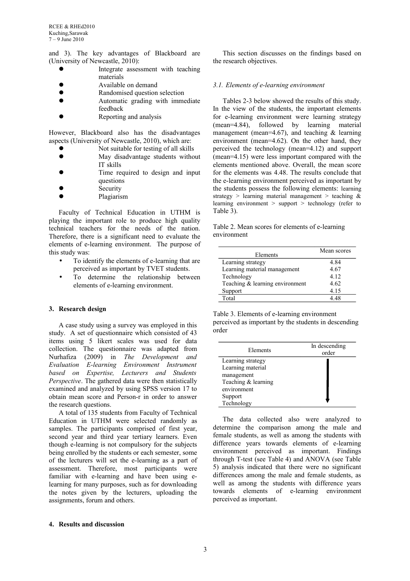and 3). The key advantages of Blackboard are (University of Newcastle, 2010):

- Integrate assessment with teaching materials
- Available on demand
- Randomised question selection
- Automatic grading with immediate feedback
- Reporting and analysis

However, Blackboard also has the disadvantages aspects (University of Newcastle, 2010), which are:

Not suitable for testing of all skills

- May disadvantage students without IT skills
- Time required to design and input questions
- Security
- Plagiarism

Faculty of Technical Education in UTHM is playing the important role to produce high quality technical teachers for the needs of the nation. Therefore, there is a significant need to evaluate the elements of e-learning environment. The purpose of this study was:

- To identify the elements of e-learning that are perceived as important by TVET students.
- To determine the relationship between elements of e-learning environment.

## **3. Research design**

A case study using a survey was employed in this study. A set of questionnaire which consisted of 43 items using 5 likert scales was used for data collection. The questionnaire was adapted from Nurhafiza (2009) in *The Development and Evaluation E-learning Environment Instrument based on Expertise, Lecturers and Students Perspective*. The gathered data were then statistically examined and analyzed by using SPSS version 17 to obtain mean score and Person-r in order to answer the research questions.

A total of 135 students from Faculty of Technical Education in UTHM were selected randomly as samples. The participants comprised of first year, second year and third year tertiary learners. Even though e-learning is not compulsory for the subjects being enrolled by the students or each semester, some of the lecturers will set the e-learning as a part of assessment. Therefore, most participants were familiar with e-learning and have been using elearning for many purposes, such as for downloading the notes given by the lecturers, uploading the assignments, forum and others.

#### **4. Results and discussion**

This section discusses on the findings based on the research objectives.

### *3.1. Elements of e-learning environment*

Tables 2-3 below showed the results of this study. In the view of the students, the important elements for e-learning environment were learning strategy (mean=4.84), followed by learning material management (mean=4.67), and teaching  $\&$  learning environment (mean=4.62). On the other hand, they perceived the technology (mean=4.12) and support (mean=4.15) were less important compared with the elements mentioned above. Overall, the mean score for the elements was 4.48. The results conclude that the e-learning environment perceived as important by the students possess the following elements: learning strategy > learning material management > teaching  $\&$ learning environment > support > technology (refer to Table 3).

#### Table 2. Mean scores for elements of e-learning environment

| Elements                          | Mean scores |
|-----------------------------------|-------------|
| Learning strategy                 | 4.84        |
| Learning material management      | 4.67        |
| Technology                        | 4.12        |
| Teaching $&$ learning environment | 4.62        |
| Support                           | 4.15        |
| Total                             | 4 48        |

Table 3. Elements of e-learning environment perceived as important by the students in descending order

| Elements            | In descending<br>order |  |  |
|---------------------|------------------------|--|--|
| Learning strategy   |                        |  |  |
| Learning material   |                        |  |  |
| management          |                        |  |  |
| Teaching & learning |                        |  |  |
| environment         |                        |  |  |
| Support             |                        |  |  |
| Technology          |                        |  |  |

The data collected also were analyzed to determine the comparison among the male and female students, as well as among the students with difference years towards elements of e-learning environment perceived as important. Findings through T-test (see Table 4) and ANOVA (see Table 5) analysis indicated that there were no significant differences among the male and female students, as well as among the students with difference years towards elements of e-learning environment perceived as important.